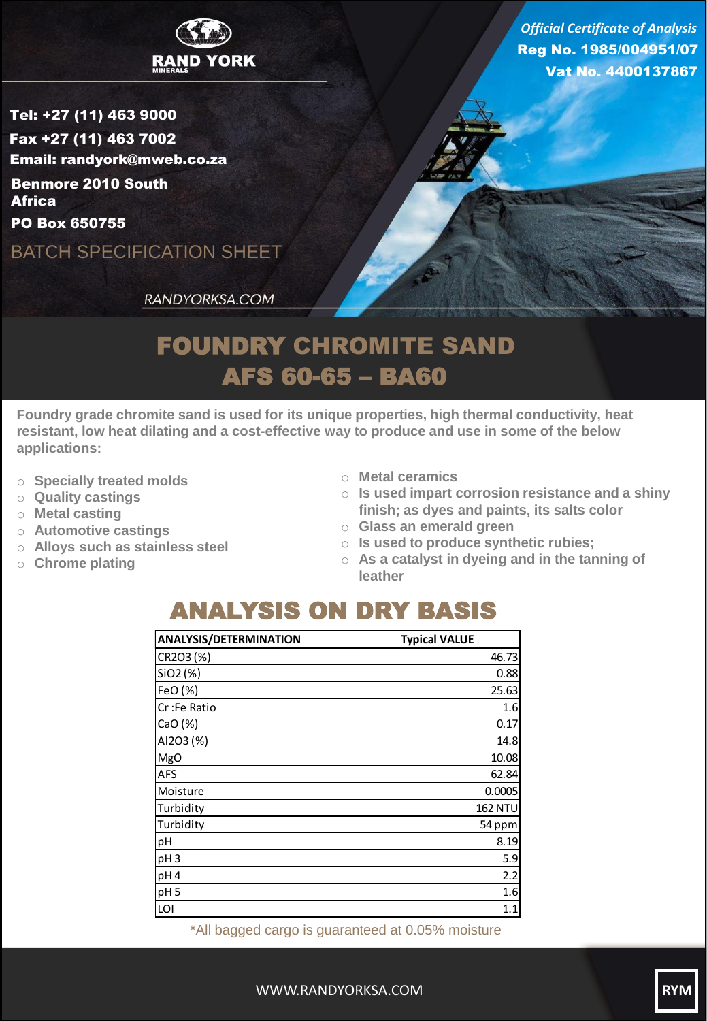

Reg No. 1985/004951/07 Vat No. 4400137867 *Official Certificate of Analysis*

Tel: +27 (11) 463 9000 Fax +27 (11) 463 7002 Email: randyork@mweb.co.za Benmore 2010 South **Africa** 

PO Box 650755

BATCH SPECIFICATION SHEET

RANDYORKSA.COM

## FOUNDRY CHROMITE SAND AFS 60-65 – BA60

**Foundry grade chromite sand is used for its unique properties, high thermal conductivity, heat resistant, low heat dilating and a cost-effective way to produce and use in some of the below applications:**

- o **Specially treated molds**
- o **Quality castings**
- o **Metal casting**
- o **Automotive castings**
- o **Alloys such as stainless steel**
- o **Chrome plating**
- o **Metal ceramics**
- o **Is used impart corrosion resistance and a shiny finish; as dyes and paints, its salts color**
- o **Glass an emerald green**
- o **Is used to produce synthetic rubies;**
- o **As a catalyst in dyeing and in the tanning of leather**

## ANALYSIS ON DRY BASIS

| <b>ANALYSIS/DETERMINATION</b> | <b>Typical VALUE</b> |  |  |
|-------------------------------|----------------------|--|--|
| CR2O3 (%)                     | 46.73                |  |  |
| SiO2 (%)                      | 0.88                 |  |  |
| FeO (%)                       | 25.63                |  |  |
| Cr:Fe Ratio                   | 1.6                  |  |  |
| CaO(%)                        | 0.17                 |  |  |
| AI2O3 (%)                     | 14.8                 |  |  |
| <b>MgO</b>                    | 10.08                |  |  |
| <b>AFS</b>                    | 62.84                |  |  |
| Moisture                      | 0.0005               |  |  |
| Turbidity                     | <b>162 NTU</b>       |  |  |
| Turbidity                     | 54 ppm               |  |  |
| pH                            | 8.19                 |  |  |
| pH <sub>3</sub>               | 5.9                  |  |  |
| pH4                           | 2.2                  |  |  |
| pH <sub>5</sub>               | 1.6                  |  |  |
| LOI                           | 1.1                  |  |  |

\*All bagged cargo is guaranteed at 0.05% moisture